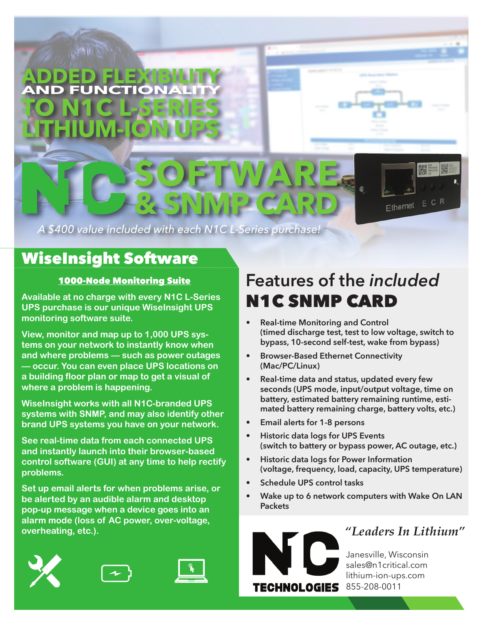

*A \$400 value included with each N1C L-Series purchase!*

## WiseInsight Software

#### 1000-Node Monitoring Suite

**Available at no charge with every N1C L-Series UPS purchase is our unique WiseInsight UPS monitoring software suite.** 

**View, monitor and map up to 1,000 UPS systems on your network to instantly know when and where problems — such as power outages — occur. You can even place UPS locations on a building floor plan or map to get a visual of where a problem is happening.** 

**WiseInsight works with all N1C-branded UPS systems with SNMP, and may also identify other brand UPS systems you have on your network.** 

**See real-time data from each connected UPS and instantly launch into their browser-based control software (GUI) at any time to help rectify problems.** 

**Set up email alerts for when problems arise, or be alerted by an audible alarm and desktop pop-up message when a device goes into an alarm mode (loss of AC power, over-voltage, overheating, etc.).**







# **Features of the** *included* N1C SNMP CARD

- **• Real-time Monitoring and Control (timed discharge test, test to low voltage, switch to bypass, 10-second self-test, wake from bypass)**
- **• Browser-Based Ethernet Connectivity (Mac/PC/Linux)**
- **• Real-time data and status, updated every few seconds (UPS mode, input/output voltage, time on battery, estimated battery remaining runtime, estimated battery remaining charge, battery volts, etc.)**
- **• Email alerts for 1-8 persons**
- **• Historic data logs for UPS Events (switch to battery or bypass power, AC outage, etc.)**
- **• Historic data logs for Power Information (voltage, frequency, load, capacity, UPS temperature)**
- **• Schedule UPS control tasks**
- **• Wake up to 6 network computers with Wake On LAN Packets**



## *"Leaders In Lithium"*

Janesville, Wisconsin sales@n1critical.com lithium-ion-ups.com